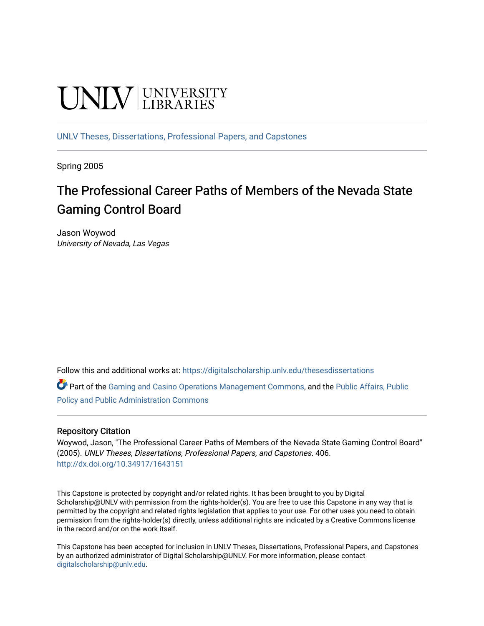# **UNIVERSITY**

[UNLV Theses, Dissertations, Professional Papers, and Capstones](https://digitalscholarship.unlv.edu/thesesdissertations)

Spring 2005

### The Professional Career Paths of Members of the Nevada State Gaming Control Board

Jason Woywod University of Nevada, Las Vegas

Follow this and additional works at: [https://digitalscholarship.unlv.edu/thesesdissertations](https://digitalscholarship.unlv.edu/thesesdissertations?utm_source=digitalscholarship.unlv.edu%2Fthesesdissertations%2F406&utm_medium=PDF&utm_campaign=PDFCoverPages)

Part of the [Gaming and Casino Operations Management Commons](http://network.bepress.com/hgg/discipline/1088?utm_source=digitalscholarship.unlv.edu%2Fthesesdissertations%2F406&utm_medium=PDF&utm_campaign=PDFCoverPages), and the [Public Affairs, Public](http://network.bepress.com/hgg/discipline/393?utm_source=digitalscholarship.unlv.edu%2Fthesesdissertations%2F406&utm_medium=PDF&utm_campaign=PDFCoverPages)  [Policy and Public Administration Commons](http://network.bepress.com/hgg/discipline/393?utm_source=digitalscholarship.unlv.edu%2Fthesesdissertations%2F406&utm_medium=PDF&utm_campaign=PDFCoverPages)

#### Repository Citation

Woywod, Jason, "The Professional Career Paths of Members of the Nevada State Gaming Control Board" (2005). UNLV Theses, Dissertations, Professional Papers, and Capstones. 406. <http://dx.doi.org/10.34917/1643151>

This Capstone is protected by copyright and/or related rights. It has been brought to you by Digital Scholarship@UNLV with permission from the rights-holder(s). You are free to use this Capstone in any way that is permitted by the copyright and related rights legislation that applies to your use. For other uses you need to obtain permission from the rights-holder(s) directly, unless additional rights are indicated by a Creative Commons license in the record and/or on the work itself.

This Capstone has been accepted for inclusion in UNLV Theses, Dissertations, Professional Papers, and Capstones by an authorized administrator of Digital Scholarship@UNLV. For more information, please contact [digitalscholarship@unlv.edu](mailto:digitalscholarship@unlv.edu).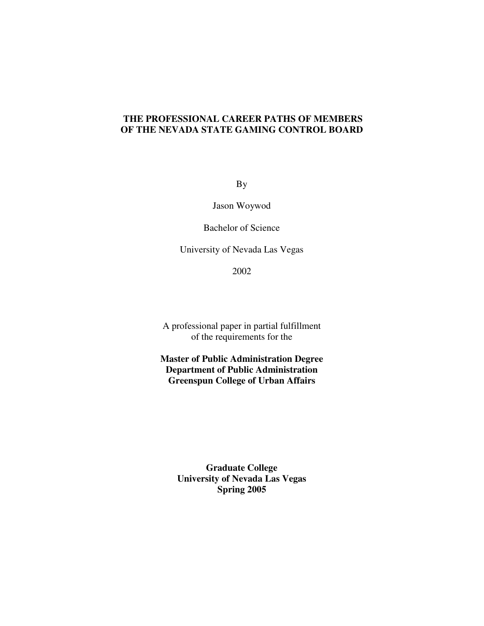#### **THE PROFESSIONAL CAREER PATHS OF MEMBERS OF THE NEVADA STATE GAMING CONTROL BOARD**

By

Jason Woywod

Bachelor of Science

University of Nevada Las Vegas

2002

A professional paper in partial fulfillment of the requirements for the

**Master of Public Administration Degree Department of Public Administration Greenspun College of Urban Affairs** 

> **Graduate College University of Nevada Las Vegas Spring 2005**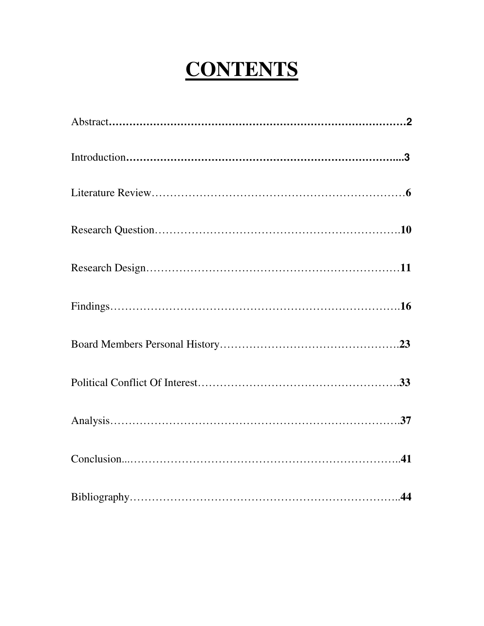## **CONTENTS**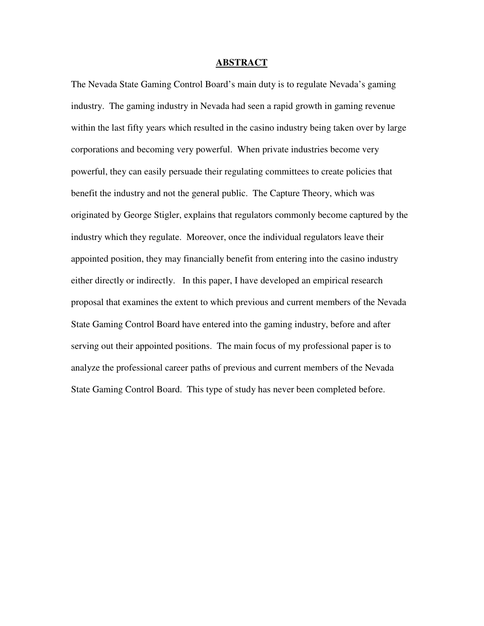#### **ABSTRACT**

The Nevada State Gaming Control Board's main duty is to regulate Nevada's gaming industry. The gaming industry in Nevada had seen a rapid growth in gaming revenue within the last fifty years which resulted in the casino industry being taken over by large corporations and becoming very powerful. When private industries become very powerful, they can easily persuade their regulating committees to create policies that benefit the industry and not the general public. The Capture Theory, which was originated by George Stigler, explains that regulators commonly become captured by the industry which they regulate. Moreover, once the individual regulators leave their appointed position, they may financially benefit from entering into the casino industry either directly or indirectly. In this paper, I have developed an empirical research proposal that examines the extent to which previous and current members of the Nevada State Gaming Control Board have entered into the gaming industry, before and after serving out their appointed positions. The main focus of my professional paper is to analyze the professional career paths of previous and current members of the Nevada State Gaming Control Board. This type of study has never been completed before.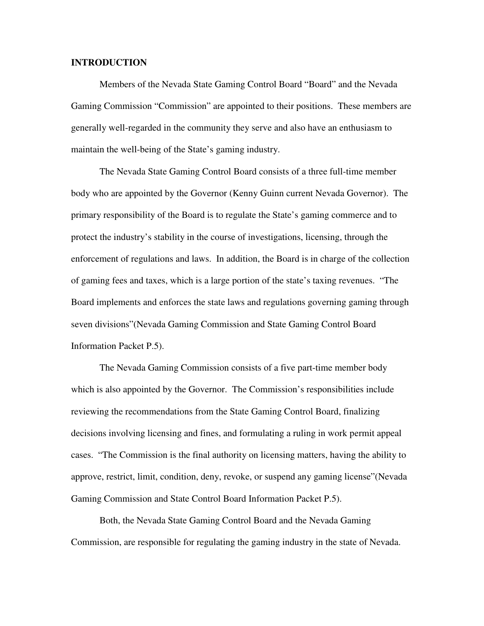#### **INTRODUCTION**

 Members of the Nevada State Gaming Control Board "Board" and the Nevada Gaming Commission "Commission" are appointed to their positions. These members are generally well-regarded in the community they serve and also have an enthusiasm to maintain the well-being of the State's gaming industry.

The Nevada State Gaming Control Board consists of a three full-time member body who are appointed by the Governor (Kenny Guinn current Nevada Governor). The primary responsibility of the Board is to regulate the State's gaming commerce and to protect the industry's stability in the course of investigations, licensing, through the enforcement of regulations and laws. In addition, the Board is in charge of the collection of gaming fees and taxes, which is a large portion of the state's taxing revenues. "The Board implements and enforces the state laws and regulations governing gaming through seven divisions"(Nevada Gaming Commission and State Gaming Control Board Information Packet P.5).

The Nevada Gaming Commission consists of a five part-time member body which is also appointed by the Governor. The Commission's responsibilities include reviewing the recommendations from the State Gaming Control Board, finalizing decisions involving licensing and fines, and formulating a ruling in work permit appeal cases. "The Commission is the final authority on licensing matters, having the ability to approve, restrict, limit, condition, deny, revoke, or suspend any gaming license"(Nevada Gaming Commission and State Control Board Information Packet P.5).

Both, the Nevada State Gaming Control Board and the Nevada Gaming Commission, are responsible for regulating the gaming industry in the state of Nevada.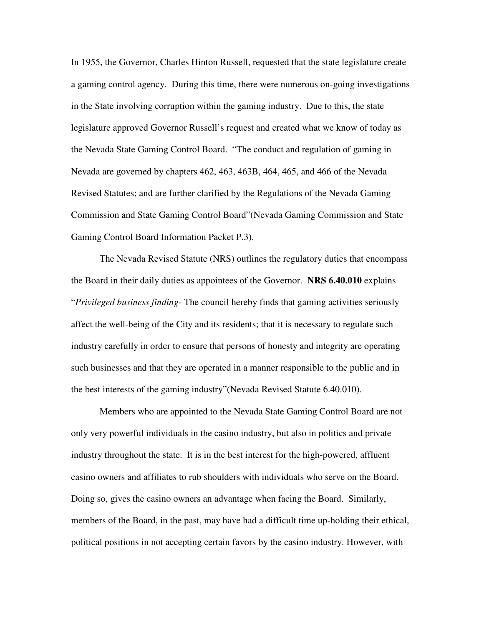In 1955, the Governor, Charles Hinton Russell, requested that the state legislature create a gaming control agency. During this time, there were numerous on-going investigations in the State involving corruption within the gaming industry. Due to this, the state legislature approved Governor Russell's request and created what we know of today as the Nevada State Gaming Control Board. "The conduct and regulation of gaming in Nevada are governed by chapters 462, 463, 463B, 464, 465, and 466 of the Nevada Revised Statutes; and are further clarified by the Regulations of the Nevada Gaming Commission and State Gaming Control Board"(Nevada Gaming Commission and State Gaming Control Board Information Packet P.3).

The Nevada Revised Statute (NRS) outlines the regulatory duties that encompass the Board in their daily duties as appointees of the Governor. **NRS 6.40.010** explains "*Privileged business finding*- The council hereby finds that gaming activities seriously affect the well-being of the City and its residents; that it is necessary to regulate such industry carefully in order to ensure that persons of honesty and integrity are operating such businesses and that they are operated in a manner responsible to the public and in the best interests of the gaming industry"(Nevada Revised Statute 6.40.010).

Members who are appointed to the Nevada State Gaming Control Board are not only very powerful individuals in the casino industry, but also in politics and private industry throughout the state. It is in the best interest for the high-powered, affluent casino owners and affiliates to rub shoulders with individuals who serve on the Board. Doing so, gives the casino owners an advantage when facing the Board. Similarly, members of the Board, in the past, may have had a difficult time up-holding their ethical, political positions in not accepting certain favors by the casino industry. However, with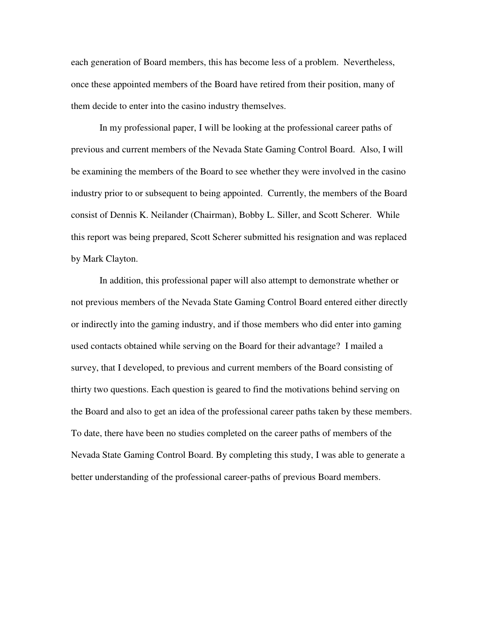each generation of Board members, this has become less of a problem. Nevertheless, once these appointed members of the Board have retired from their position, many of them decide to enter into the casino industry themselves.

In my professional paper, I will be looking at the professional career paths of previous and current members of the Nevada State Gaming Control Board. Also, I will be examining the members of the Board to see whether they were involved in the casino industry prior to or subsequent to being appointed. Currently, the members of the Board consist of Dennis K. Neilander (Chairman), Bobby L. Siller, and Scott Scherer. While this report was being prepared, Scott Scherer submitted his resignation and was replaced by Mark Clayton.

In addition, this professional paper will also attempt to demonstrate whether or not previous members of the Nevada State Gaming Control Board entered either directly or indirectly into the gaming industry, and if those members who did enter into gaming used contacts obtained while serving on the Board for their advantage? I mailed a survey, that I developed, to previous and current members of the Board consisting of thirty two questions. Each question is geared to find the motivations behind serving on the Board and also to get an idea of the professional career paths taken by these members. To date, there have been no studies completed on the career paths of members of the Nevada State Gaming Control Board. By completing this study, I was able to generate a better understanding of the professional career-paths of previous Board members.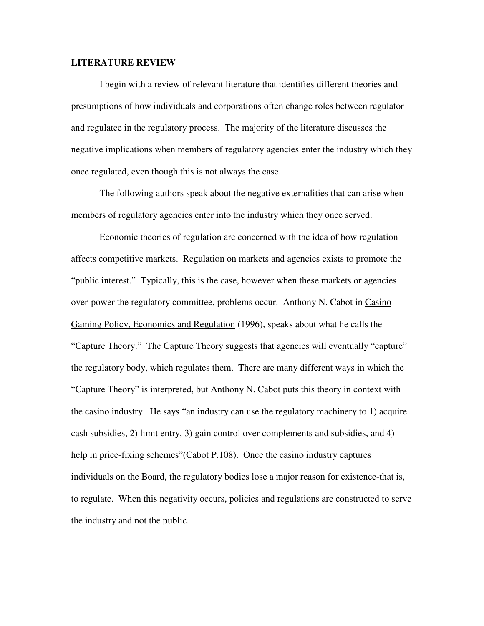#### **LITERATURE REVIEW**

 I begin with a review of relevant literature that identifies different theories and presumptions of how individuals and corporations often change roles between regulator and regulatee in the regulatory process. The majority of the literature discusses the negative implications when members of regulatory agencies enter the industry which they once regulated, even though this is not always the case.

 The following authors speak about the negative externalities that can arise when members of regulatory agencies enter into the industry which they once served.

 Economic theories of regulation are concerned with the idea of how regulation affects competitive markets. Regulation on markets and agencies exists to promote the "public interest." Typically, this is the case, however when these markets or agencies over-power the regulatory committee, problems occur. Anthony N. Cabot in Casino Gaming Policy, Economics and Regulation (1996), speaks about what he calls the "Capture Theory." The Capture Theory suggests that agencies will eventually "capture" the regulatory body, which regulates them. There are many different ways in which the "Capture Theory" is interpreted, but Anthony N. Cabot puts this theory in context with the casino industry. He says "an industry can use the regulatory machinery to 1) acquire cash subsidies, 2) limit entry, 3) gain control over complements and subsidies, and 4) help in price-fixing schemes" (Cabot P.108). Once the casino industry captures individuals on the Board, the regulatory bodies lose a major reason for existence-that is, to regulate. When this negativity occurs, policies and regulations are constructed to serve the industry and not the public.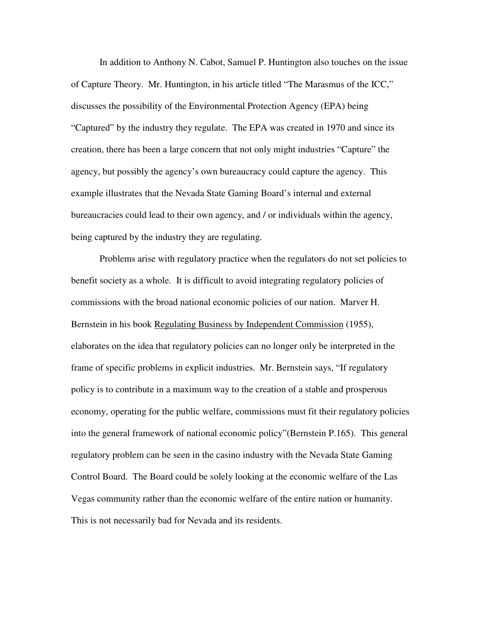In addition to Anthony N. Cabot, Samuel P. Huntington also touches on the issue of Capture Theory. Mr. Huntington, in his article titled "The Marasmus of the ICC," discusses the possibility of the Environmental Protection Agency (EPA) being "Captured" by the industry they regulate. The EPA was created in 1970 and since its creation, there has been a large concern that not only might industries "Capture" the agency, but possibly the agency's own bureaucracy could capture the agency. This example illustrates that the Nevada State Gaming Board's internal and external bureaucracies could lead to their own agency, and / or individuals within the agency, being captured by the industry they are regulating.

 Problems arise with regulatory practice when the regulators do not set policies to benefit society as a whole. It is difficult to avoid integrating regulatory policies of commissions with the broad national economic policies of our nation. Marver H. Bernstein in his book Regulating Business by Independent Commission (1955), elaborates on the idea that regulatory policies can no longer only be interpreted in the frame of specific problems in explicit industries. Mr. Bernstein says, "If regulatory policy is to contribute in a maximum way to the creation of a stable and prosperous economy, operating for the public welfare, commissions must fit their regulatory policies into the general framework of national economic policy"(Bernstein P.165). This general regulatory problem can be seen in the casino industry with the Nevada State Gaming Control Board. The Board could be solely looking at the economic welfare of the Las Vegas community rather than the economic welfare of the entire nation or humanity. This is not necessarily bad for Nevada and its residents.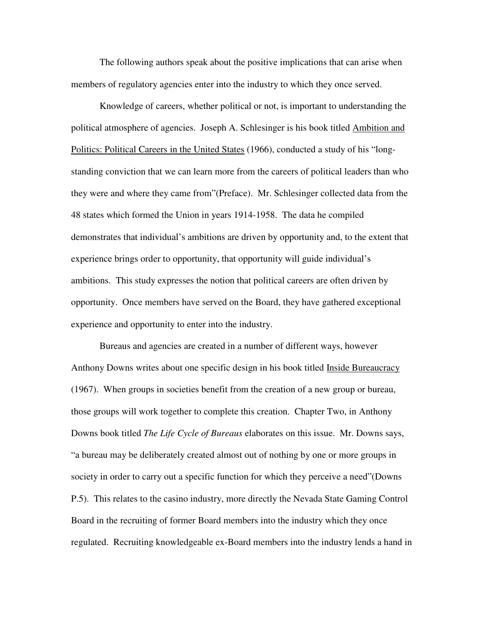The following authors speak about the positive implications that can arise when members of regulatory agencies enter into the industry to which they once served.

Knowledge of careers, whether political or not, is important to understanding the political atmosphere of agencies. Joseph A. Schlesinger is his book titled Ambition and Politics: Political Careers in the United States (1966), conducted a study of his "longstanding conviction that we can learn more from the careers of political leaders than who they were and where they came from"(Preface). Mr. Schlesinger collected data from the 48 states which formed the Union in years 1914-1958. The data he compiled demonstrates that individual's ambitions are driven by opportunity and, to the extent that experience brings order to opportunity, that opportunity will guide individual's ambitions. This study expresses the notion that political careers are often driven by opportunity. Once members have served on the Board, they have gathered exceptional experience and opportunity to enter into the industry.

Bureaus and agencies are created in a number of different ways, however Anthony Downs writes about one specific design in his book titled Inside Bureaucracy (1967). When groups in societies benefit from the creation of a new group or bureau, those groups will work together to complete this creation. Chapter Two, in Anthony Downs book titled *The Life Cycle of Bureaus* elaborates on this issue. Mr. Downs says, "a bureau may be deliberately created almost out of nothing by one or more groups in society in order to carry out a specific function for which they perceive a need"(Downs P.5). This relates to the casino industry, more directly the Nevada State Gaming Control Board in the recruiting of former Board members into the industry which they once regulated. Recruiting knowledgeable ex-Board members into the industry lends a hand in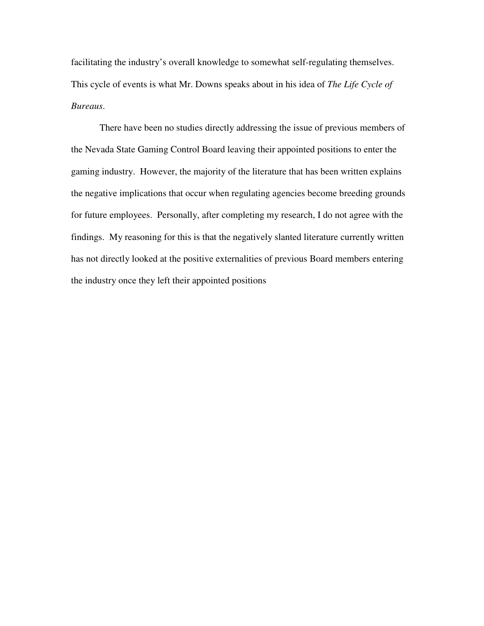facilitating the industry's overall knowledge to somewhat self-regulating themselves. This cycle of events is what Mr. Downs speaks about in his idea of *The Life Cycle of Bureaus*.

 There have been no studies directly addressing the issue of previous members of the Nevada State Gaming Control Board leaving their appointed positions to enter the gaming industry. However, the majority of the literature that has been written explains the negative implications that occur when regulating agencies become breeding grounds for future employees. Personally, after completing my research, I do not agree with the findings. My reasoning for this is that the negatively slanted literature currently written has not directly looked at the positive externalities of previous Board members entering the industry once they left their appointed positions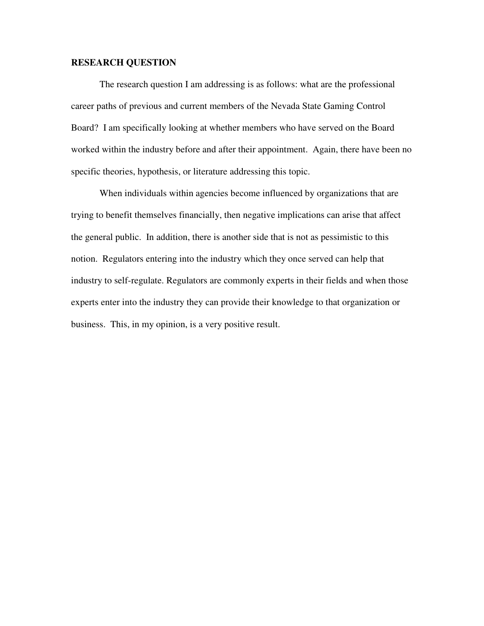#### **RESEARCH QUESTION**

 The research question I am addressing is as follows: what are the professional career paths of previous and current members of the Nevada State Gaming Control Board? I am specifically looking at whether members who have served on the Board worked within the industry before and after their appointment. Again, there have been no specific theories, hypothesis, or literature addressing this topic.

 When individuals within agencies become influenced by organizations that are trying to benefit themselves financially, then negative implications can arise that affect the general public. In addition, there is another side that is not as pessimistic to this notion. Regulators entering into the industry which they once served can help that industry to self-regulate. Regulators are commonly experts in their fields and when those experts enter into the industry they can provide their knowledge to that organization or business. This, in my opinion, is a very positive result.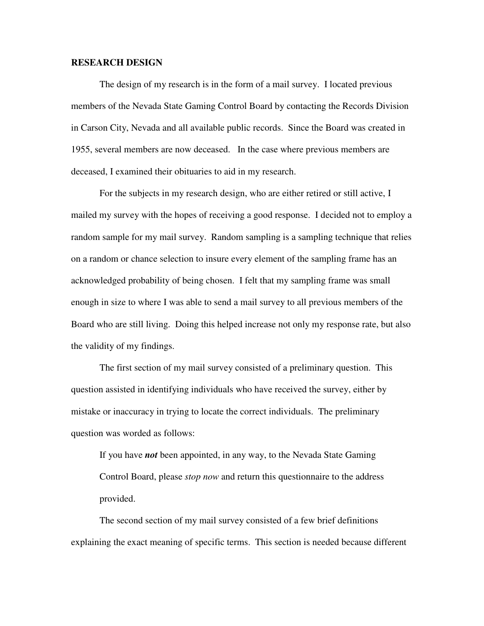#### **RESEARCH DESIGN**

The design of my research is in the form of a mail survey. I located previous members of the Nevada State Gaming Control Board by contacting the Records Division in Carson City, Nevada and all available public records. Since the Board was created in 1955, several members are now deceased. In the case where previous members are deceased, I examined their obituaries to aid in my research.

For the subjects in my research design, who are either retired or still active, I mailed my survey with the hopes of receiving a good response. I decided not to employ a random sample for my mail survey. Random sampling is a sampling technique that relies on a random or chance selection to insure every element of the sampling frame has an acknowledged probability of being chosen. I felt that my sampling frame was small enough in size to where I was able to send a mail survey to all previous members of the Board who are still living. Doing this helped increase not only my response rate, but also the validity of my findings.

The first section of my mail survey consisted of a preliminary question. This question assisted in identifying individuals who have received the survey, either by mistake or inaccuracy in trying to locate the correct individuals. The preliminary question was worded as follows:

If you have *not* been appointed, in any way, to the Nevada State Gaming Control Board, please *stop now* and return this questionnaire to the address provided.

 The second section of my mail survey consisted of a few brief definitions explaining the exact meaning of specific terms. This section is needed because different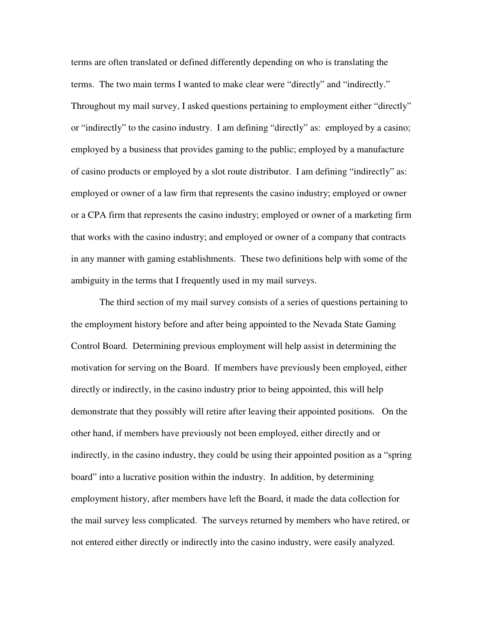terms are often translated or defined differently depending on who is translating the terms. The two main terms I wanted to make clear were "directly" and "indirectly." Throughout my mail survey, I asked questions pertaining to employment either "directly" or "indirectly" to the casino industry. I am defining "directly" as: employed by a casino; employed by a business that provides gaming to the public; employed by a manufacture of casino products or employed by a slot route distributor. I am defining "indirectly" as: employed or owner of a law firm that represents the casino industry; employed or owner or a CPA firm that represents the casino industry; employed or owner of a marketing firm that works with the casino industry; and employed or owner of a company that contracts in any manner with gaming establishments. These two definitions help with some of the ambiguity in the terms that I frequently used in my mail surveys.

The third section of my mail survey consists of a series of questions pertaining to the employment history before and after being appointed to the Nevada State Gaming Control Board. Determining previous employment will help assist in determining the motivation for serving on the Board. If members have previously been employed, either directly or indirectly, in the casino industry prior to being appointed, this will help demonstrate that they possibly will retire after leaving their appointed positions. On the other hand, if members have previously not been employed, either directly and or indirectly, in the casino industry, they could be using their appointed position as a "spring board" into a lucrative position within the industry. In addition, by determining employment history, after members have left the Board, it made the data collection for the mail survey less complicated. The surveys returned by members who have retired, or not entered either directly or indirectly into the casino industry, were easily analyzed.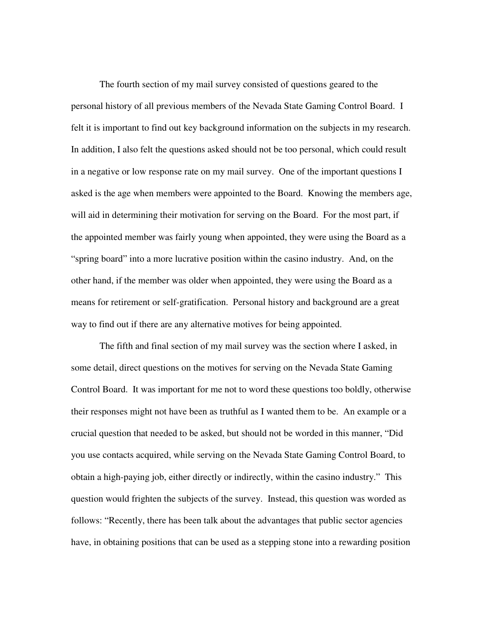The fourth section of my mail survey consisted of questions geared to the personal history of all previous members of the Nevada State Gaming Control Board. I felt it is important to find out key background information on the subjects in my research. In addition, I also felt the questions asked should not be too personal, which could result in a negative or low response rate on my mail survey. One of the important questions I asked is the age when members were appointed to the Board. Knowing the members age, will aid in determining their motivation for serving on the Board. For the most part, if the appointed member was fairly young when appointed, they were using the Board as a "spring board" into a more lucrative position within the casino industry. And, on the other hand, if the member was older when appointed, they were using the Board as a means for retirement or self-gratification. Personal history and background are a great way to find out if there are any alternative motives for being appointed.

The fifth and final section of my mail survey was the section where I asked, in some detail, direct questions on the motives for serving on the Nevada State Gaming Control Board. It was important for me not to word these questions too boldly, otherwise their responses might not have been as truthful as I wanted them to be. An example or a crucial question that needed to be asked, but should not be worded in this manner, "Did you use contacts acquired, while serving on the Nevada State Gaming Control Board, to obtain a high-paying job, either directly or indirectly, within the casino industry." This question would frighten the subjects of the survey. Instead, this question was worded as follows: "Recently, there has been talk about the advantages that public sector agencies have, in obtaining positions that can be used as a stepping stone into a rewarding position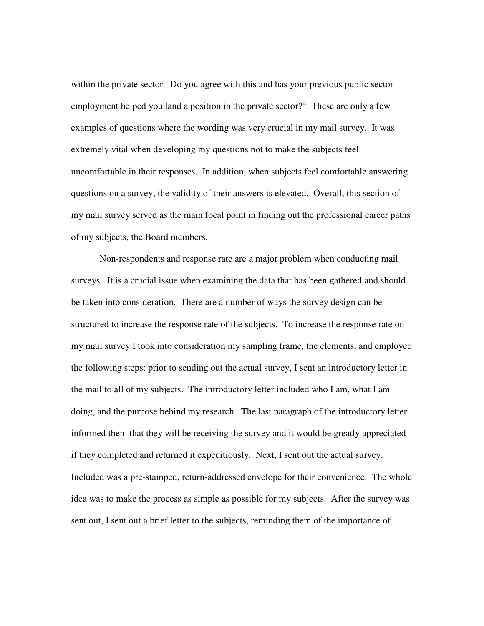within the private sector. Do you agree with this and has your previous public sector employment helped you land a position in the private sector?" These are only a few examples of questions where the wording was very crucial in my mail survey. It was extremely vital when developing my questions not to make the subjects feel uncomfortable in their responses. In addition, when subjects feel comfortable answering questions on a survey, the validity of their answers is elevated. Overall, this section of my mail survey served as the main focal point in finding out the professional career paths of my subjects, the Board members.

Non-respondents and response rate are a major problem when conducting mail surveys. It is a crucial issue when examining the data that has been gathered and should be taken into consideration. There are a number of ways the survey design can be structured to increase the response rate of the subjects. To increase the response rate on my mail survey I took into consideration my sampling frame, the elements, and employed the following steps: prior to sending out the actual survey, I sent an introductory letter in the mail to all of my subjects. The introductory letter included who I am, what I am doing, and the purpose behind my research. The last paragraph of the introductory letter informed them that they will be receiving the survey and it would be greatly appreciated if they completed and returned it expeditiously. Next, I sent out the actual survey. Included was a pre-stamped, return-addressed envelope for their convenience. The whole idea was to make the process as simple as possible for my subjects. After the survey was sent out, I sent out a brief letter to the subjects, reminding them of the importance of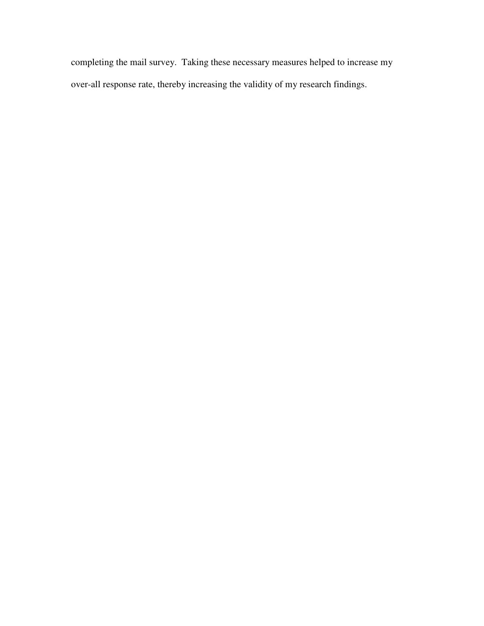completing the mail survey. Taking these necessary measures helped to increase my over-all response rate, thereby increasing the validity of my research findings.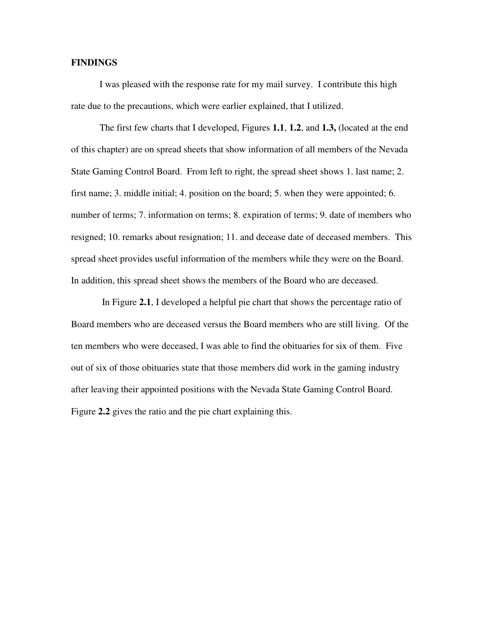#### **FINDINGS**

I was pleased with the response rate for my mail survey. I contribute this high rate due to the precautions, which were earlier explained, that I utilized.

The first few charts that I developed, Figures **1.1**, **1.2**, and **1.3,** (located at the end of this chapter) are on spread sheets that show information of all members of the Nevada State Gaming Control Board. From left to right, the spread sheet shows 1. last name; 2. first name; 3. middle initial; 4. position on the board; 5. when they were appointed; 6. number of terms; 7. information on terms; 8. expiration of terms; 9. date of members who resigned; 10. remarks about resignation; 11. and decease date of deceased members. This spread sheet provides useful information of the members while they were on the Board. In addition, this spread sheet shows the members of the Board who are deceased.

 In Figure **2.1**, I developed a helpful pie chart that shows the percentage ratio of Board members who are deceased versus the Board members who are still living. Of the ten members who were deceased, I was able to find the obituaries for six of them. Five out of six of those obituaries state that those members did work in the gaming industry after leaving their appointed positions with the Nevada State Gaming Control Board. Figure **2.2** gives the ratio and the pie chart explaining this.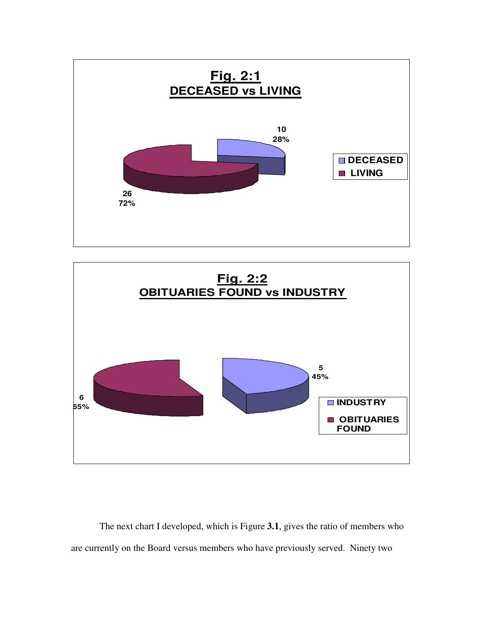



The next chart I developed, which is Figure **3.1**, gives the ratio of members who are currently on the Board versus members who have previously served. Ninety two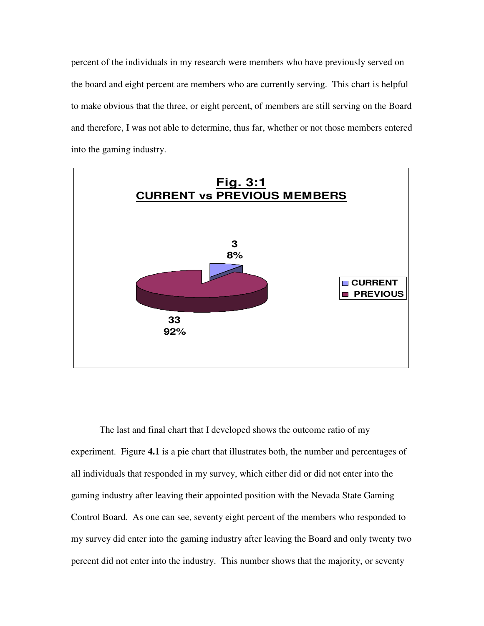percent of the individuals in my research were members who have previously served on the board and eight percent are members who are currently serving. This chart is helpful to make obvious that the three, or eight percent, of members are still serving on the Board and therefore, I was not able to determine, thus far, whether or not those members entered into the gaming industry.



The last and final chart that I developed shows the outcome ratio of my experiment. Figure **4.1** is a pie chart that illustrates both, the number and percentages of all individuals that responded in my survey, which either did or did not enter into the gaming industry after leaving their appointed position with the Nevada State Gaming Control Board. As one can see, seventy eight percent of the members who responded to my survey did enter into the gaming industry after leaving the Board and only twenty two percent did not enter into the industry. This number shows that the majority, or seventy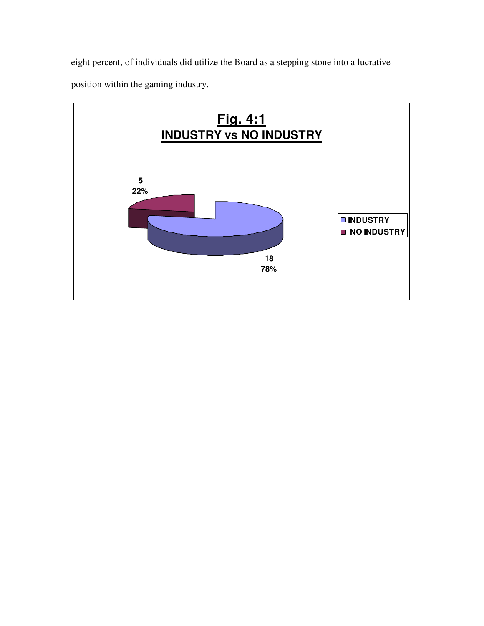eight percent, of individuals did utilize the Board as a stepping stone into a lucrative position within the gaming industry.

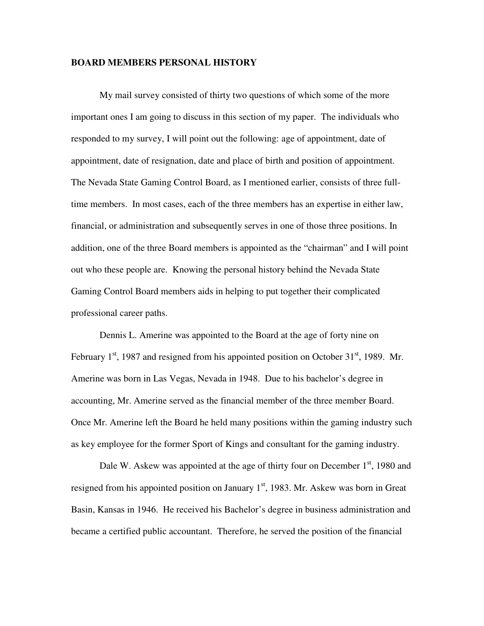#### **BOARD MEMBERS PERSONAL HISTORY**

My mail survey consisted of thirty two questions of which some of the more important ones I am going to discuss in this section of my paper. The individuals who responded to my survey, I will point out the following: age of appointment, date of appointment, date of resignation, date and place of birth and position of appointment. The Nevada State Gaming Control Board, as I mentioned earlier, consists of three fulltime members. In most cases, each of the three members has an expertise in either law, financial, or administration and subsequently serves in one of those three positions. In addition, one of the three Board members is appointed as the "chairman" and I will point out who these people are. Knowing the personal history behind the Nevada State Gaming Control Board members aids in helping to put together their complicated professional career paths.

Dennis L. Amerine was appointed to the Board at the age of forty nine on February  $1<sup>st</sup>$ , 1987 and resigned from his appointed position on October 31 $<sup>st</sup>$ , 1989. Mr.</sup> Amerine was born in Las Vegas, Nevada in 1948. Due to his bachelor's degree in accounting, Mr. Amerine served as the financial member of the three member Board. Once Mr. Amerine left the Board he held many positions within the gaming industry such as key employee for the former Sport of Kings and consultant for the gaming industry.

Dale W. Askew was appointed at the age of thirty four on December 1<sup>st</sup>, 1980 and resigned from his appointed position on January  $1<sup>st</sup>$ , 1983. Mr. Askew was born in Great Basin, Kansas in 1946. He received his Bachelor's degree in business administration and became a certified public accountant. Therefore, he served the position of the financial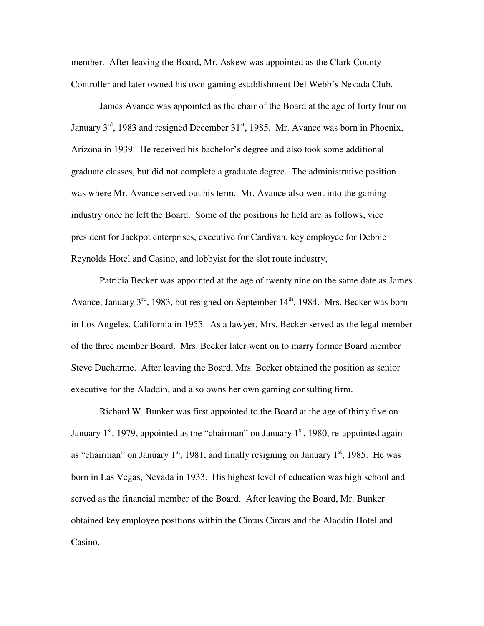member. After leaving the Board, Mr. Askew was appointed as the Clark County Controller and later owned his own gaming establishment Del Webb's Nevada Club.

James Avance was appointed as the chair of the Board at the age of forty four on January  $3^{rd}$ , 1983 and resigned December  $31^{st}$ , 1985. Mr. Avance was born in Phoenix, Arizona in 1939. He received his bachelor's degree and also took some additional graduate classes, but did not complete a graduate degree. The administrative position was where Mr. Avance served out his term. Mr. Avance also went into the gaming industry once he left the Board. Some of the positions he held are as follows, vice president for Jackpot enterprises, executive for Cardivan, key employee for Debbie Reynolds Hotel and Casino, and lobbyist for the slot route industry,

Patricia Becker was appointed at the age of twenty nine on the same date as James Avance, January  $3<sup>rd</sup>$ , 1983, but resigned on September 14<sup>th</sup>, 1984. Mrs. Becker was born in Los Angeles, California in 1955. As a lawyer, Mrs. Becker served as the legal member of the three member Board. Mrs. Becker later went on to marry former Board member Steve Ducharme. After leaving the Board, Mrs. Becker obtained the position as senior executive for the Aladdin, and also owns her own gaming consulting firm.

Richard W. Bunker was first appointed to the Board at the age of thirty five on January  $1<sup>st</sup>$ , 1979, appointed as the "chairman" on January  $1<sup>st</sup>$ , 1980, re-appointed again as "chairman" on January  $1<sup>st</sup>$ , 1981, and finally resigning on January  $1<sup>st</sup>$ , 1985. He was born in Las Vegas, Nevada in 1933. His highest level of education was high school and served as the financial member of the Board. After leaving the Board, Mr. Bunker obtained key employee positions within the Circus Circus and the Aladdin Hotel and Casino.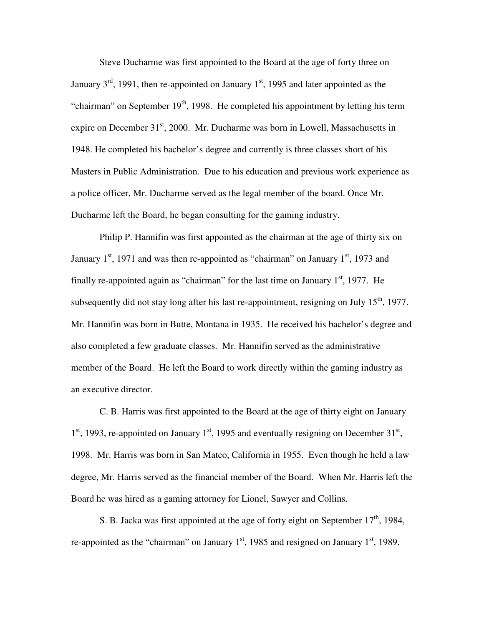Steve Ducharme was first appointed to the Board at the age of forty three on January  $3<sup>rd</sup>$ , 1991, then re-appointed on January 1<sup>st</sup>, 1995 and later appointed as the "chairman" on September  $19<sup>th</sup>$ , 1998. He completed his appointment by letting his term expire on December  $31<sup>st</sup>$ , 2000. Mr. Ducharme was born in Lowell, Massachusetts in 1948. He completed his bachelor's degree and currently is three classes short of his Masters in Public Administration. Due to his education and previous work experience as a police officer, Mr. Ducharme served as the legal member of the board. Once Mr. Ducharme left the Board, he began consulting for the gaming industry.

Philip P. Hannifin was first appointed as the chairman at the age of thirty six on January  $1<sup>st</sup>$ , 1971 and was then re-appointed as "chairman" on January  $1<sup>st</sup>$ , 1973 and finally re-appointed again as "chairman" for the last time on January  $1<sup>st</sup>$ , 1977. He subsequently did not stay long after his last re-appointment, resigning on July 15<sup>th</sup>, 1977. Mr. Hannifin was born in Butte, Montana in 1935. He received his bachelor's degree and also completed a few graduate classes. Mr. Hannifin served as the administrative member of the Board. He left the Board to work directly within the gaming industry as an executive director.

C. B. Harris was first appointed to the Board at the age of thirty eight on January  $1<sup>st</sup>$ , 1993, re-appointed on January  $1<sup>st</sup>$ , 1995 and eventually resigning on December 31<sup>st</sup>, 1998. Mr. Harris was born in San Mateo, California in 1955. Even though he held a law degree, Mr. Harris served as the financial member of the Board. When Mr. Harris left the Board he was hired as a gaming attorney for Lionel, Sawyer and Collins.

S. B. Jacka was first appointed at the age of forty eight on September 17<sup>th</sup>, 1984, re-appointed as the "chairman" on January  $1<sup>st</sup>$ , 1985 and resigned on January  $1<sup>st</sup>$ , 1989.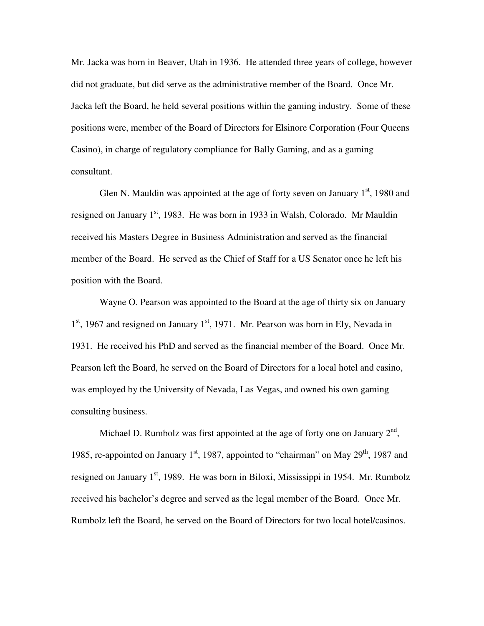Mr. Jacka was born in Beaver, Utah in 1936. He attended three years of college, however did not graduate, but did serve as the administrative member of the Board. Once Mr. Jacka left the Board, he held several positions within the gaming industry. Some of these positions were, member of the Board of Directors for Elsinore Corporation (Four Queens Casino), in charge of regulatory compliance for Bally Gaming, and as a gaming consultant.

Glen N. Mauldin was appointed at the age of forty seven on January  $1<sup>st</sup>$ , 1980 and resigned on January  $1<sup>st</sup>$ , 1983. He was born in 1933 in Walsh, Colorado. Mr Mauldin received his Masters Degree in Business Administration and served as the financial member of the Board. He served as the Chief of Staff for a US Senator once he left his position with the Board.

Wayne O. Pearson was appointed to the Board at the age of thirty six on January 1<sup>st</sup>, 1967 and resigned on January 1<sup>st</sup>, 1971. Mr. Pearson was born in Ely, Nevada in 1931. He received his PhD and served as the financial member of the Board. Once Mr. Pearson left the Board, he served on the Board of Directors for a local hotel and casino, was employed by the University of Nevada, Las Vegas, and owned his own gaming consulting business.

Michael D. Rumbolz was first appointed at the age of forty one on January  $2<sup>nd</sup>$ , 1985, re-appointed on January  $1<sup>st</sup>$ , 1987, appointed to "chairman" on May  $29<sup>th</sup>$ , 1987 and resigned on January  $1<sup>st</sup>$ , 1989. He was born in Biloxi, Mississippi in 1954. Mr. Rumbolz received his bachelor's degree and served as the legal member of the Board. Once Mr. Rumbolz left the Board, he served on the Board of Directors for two local hotel/casinos.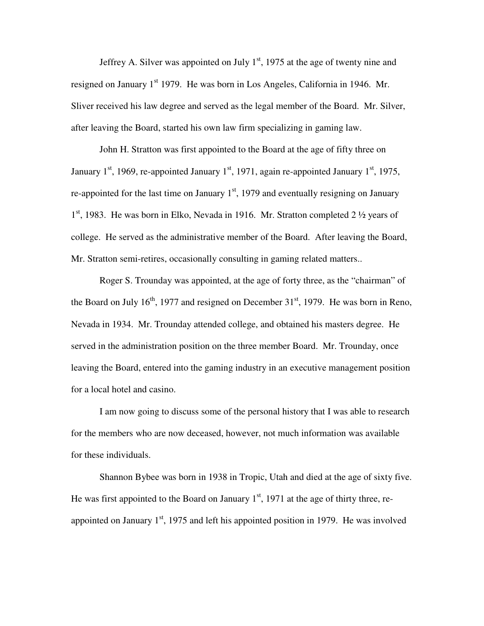Jeffrey A. Silver was appointed on July  $1<sup>st</sup>$ , 1975 at the age of twenty nine and resigned on January  $1<sup>st</sup>$  1979. He was born in Los Angeles, California in 1946. Mr. Sliver received his law degree and served as the legal member of the Board. Mr. Silver, after leaving the Board, started his own law firm specializing in gaming law.

John H. Stratton was first appointed to the Board at the age of fifty three on January  $1<sup>st</sup>$ , 1969, re-appointed January  $1<sup>st</sup>$ , 1971, again re-appointed January  $1<sup>st</sup>$ , 1975, re-appointed for the last time on January  $1<sup>st</sup>$ , 1979 and eventually resigning on January 1<sup>st</sup>, 1983. He was born in Elko, Nevada in 1916. Mr. Stratton completed 2 1/2 years of college. He served as the administrative member of the Board. After leaving the Board, Mr. Stratton semi-retires, occasionally consulting in gaming related matters..

Roger S. Trounday was appointed, at the age of forty three, as the "chairman" of the Board on July  $16<sup>th</sup>$ , 1977 and resigned on December  $31<sup>st</sup>$ , 1979. He was born in Reno, Nevada in 1934. Mr. Trounday attended college, and obtained his masters degree. He served in the administration position on the three member Board. Mr. Trounday, once leaving the Board, entered into the gaming industry in an executive management position for a local hotel and casino.

I am now going to discuss some of the personal history that I was able to research for the members who are now deceased, however, not much information was available for these individuals.

Shannon Bybee was born in 1938 in Tropic, Utah and died at the age of sixty five. He was first appointed to the Board on January  $1<sup>st</sup>$ , 1971 at the age of thirty three, reappointed on January  $1<sup>st</sup>$ , 1975 and left his appointed position in 1979. He was involved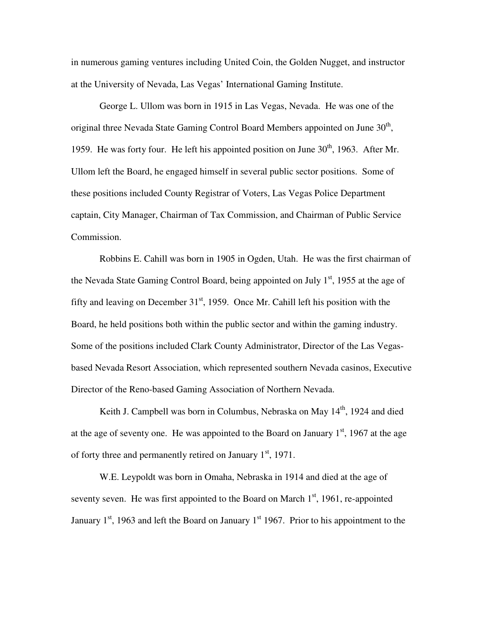in numerous gaming ventures including United Coin, the Golden Nugget, and instructor at the University of Nevada, Las Vegas' International Gaming Institute.

George L. Ullom was born in 1915 in Las Vegas, Nevada. He was one of the original three Nevada State Gaming Control Board Members appointed on June  $30<sup>th</sup>$ , 1959. He was forty four. He left his appointed position on June  $30<sup>th</sup>$ , 1963. After Mr. Ullom left the Board, he engaged himself in several public sector positions. Some of these positions included County Registrar of Voters, Las Vegas Police Department captain, City Manager, Chairman of Tax Commission, and Chairman of Public Service Commission.

Robbins E. Cahill was born in 1905 in Ogden, Utah. He was the first chairman of the Nevada State Gaming Control Board, being appointed on July  $1<sup>st</sup>$ , 1955 at the age of fifty and leaving on December  $31<sup>st</sup>$ , 1959. Once Mr. Cahill left his position with the Board, he held positions both within the public sector and within the gaming industry. Some of the positions included Clark County Administrator, Director of the Las Vegasbased Nevada Resort Association, which represented southern Nevada casinos, Executive Director of the Reno-based Gaming Association of Northern Nevada.

Keith J. Campbell was born in Columbus, Nebraska on May 14<sup>th</sup>, 1924 and died at the age of seventy one. He was appointed to the Board on January  $1<sup>st</sup>$ , 1967 at the age of forty three and permanently retired on January  $1<sup>st</sup>$ , 1971.

W.E. Leypoldt was born in Omaha, Nebraska in 1914 and died at the age of seventy seven. He was first appointed to the Board on March  $1<sup>st</sup>$ , 1961, re-appointed January  $1<sup>st</sup>$ , 1963 and left the Board on January  $1<sup>st</sup>$  1967. Prior to his appointment to the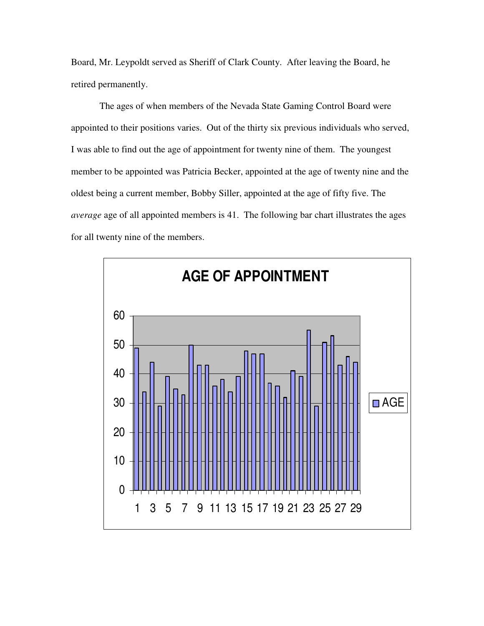Board, Mr. Leypoldt served as Sheriff of Clark County. After leaving the Board, he retired permanently.

The ages of when members of the Nevada State Gaming Control Board were appointed to their positions varies. Out of the thirty six previous individuals who served, I was able to find out the age of appointment for twenty nine of them. The youngest member to be appointed was Patricia Becker, appointed at the age of twenty nine and the oldest being a current member, Bobby Siller, appointed at the age of fifty five. The *average* age of all appointed members is 41. The following bar chart illustrates the ages for all twenty nine of the members.

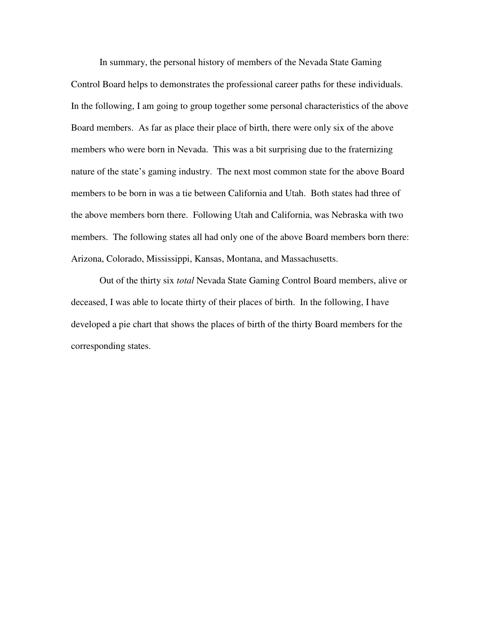In summary, the personal history of members of the Nevada State Gaming Control Board helps to demonstrates the professional career paths for these individuals. In the following, I am going to group together some personal characteristics of the above Board members. As far as place their place of birth, there were only six of the above members who were born in Nevada. This was a bit surprising due to the fraternizing nature of the state's gaming industry. The next most common state for the above Board members to be born in was a tie between California and Utah. Both states had three of the above members born there. Following Utah and California, was Nebraska with two members. The following states all had only one of the above Board members born there: Arizona, Colorado, Mississippi, Kansas, Montana, and Massachusetts.

Out of the thirty six *total* Nevada State Gaming Control Board members, alive or deceased, I was able to locate thirty of their places of birth. In the following, I have developed a pie chart that shows the places of birth of the thirty Board members for the corresponding states.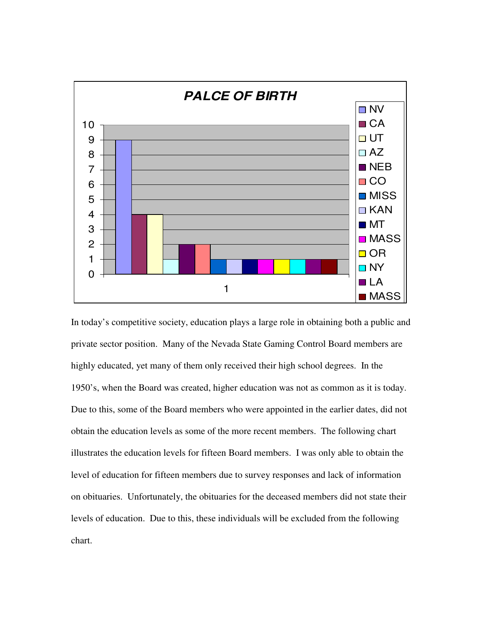

In today's competitive society, education plays a large role in obtaining both a public and private sector position. Many of the Nevada State Gaming Control Board members are highly educated, yet many of them only received their high school degrees. In the 1950's, when the Board was created, higher education was not as common as it is today. Due to this, some of the Board members who were appointed in the earlier dates, did not obtain the education levels as some of the more recent members. The following chart illustrates the education levels for fifteen Board members. I was only able to obtain the level of education for fifteen members due to survey responses and lack of information on obituaries. Unfortunately, the obituaries for the deceased members did not state their levels of education. Due to this, these individuals will be excluded from the following chart.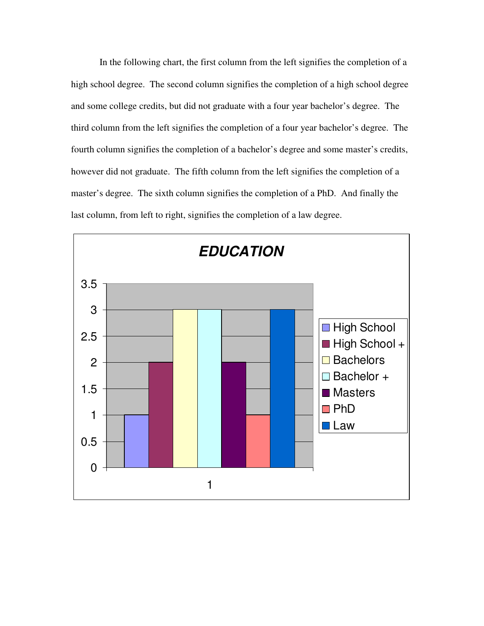In the following chart, the first column from the left signifies the completion of a high school degree. The second column signifies the completion of a high school degree and some college credits, but did not graduate with a four year bachelor's degree. The third column from the left signifies the completion of a four year bachelor's degree. The fourth column signifies the completion of a bachelor's degree and some master's credits, however did not graduate. The fifth column from the left signifies the completion of a master's degree. The sixth column signifies the completion of a PhD. And finally the last column, from left to right, signifies the completion of a law degree.

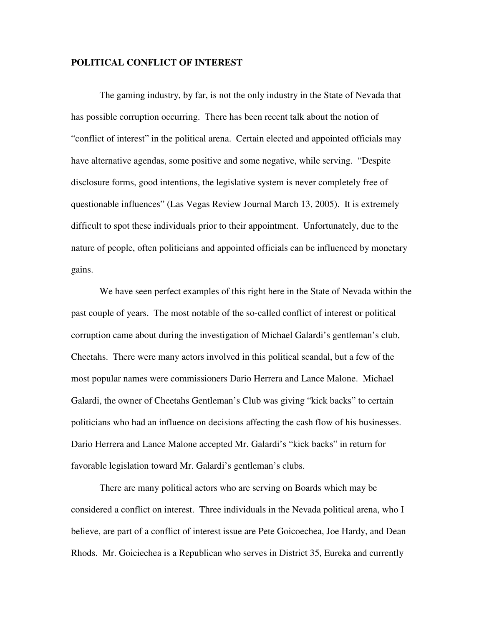#### **POLITICAL CONFLICT OF INTEREST**

The gaming industry, by far, is not the only industry in the State of Nevada that has possible corruption occurring. There has been recent talk about the notion of "conflict of interest" in the political arena. Certain elected and appointed officials may have alternative agendas, some positive and some negative, while serving. "Despite disclosure forms, good intentions, the legislative system is never completely free of questionable influences" (Las Vegas Review Journal March 13, 2005). It is extremely difficult to spot these individuals prior to their appointment. Unfortunately, due to the nature of people, often politicians and appointed officials can be influenced by monetary gains.

We have seen perfect examples of this right here in the State of Nevada within the past couple of years. The most notable of the so-called conflict of interest or political corruption came about during the investigation of Michael Galardi's gentleman's club, Cheetahs. There were many actors involved in this political scandal, but a few of the most popular names were commissioners Dario Herrera and Lance Malone. Michael Galardi, the owner of Cheetahs Gentleman's Club was giving "kick backs" to certain politicians who had an influence on decisions affecting the cash flow of his businesses. Dario Herrera and Lance Malone accepted Mr. Galardi's "kick backs" in return for favorable legislation toward Mr. Galardi's gentleman's clubs.

 There are many political actors who are serving on Boards which may be considered a conflict on interest. Three individuals in the Nevada political arena, who I believe, are part of a conflict of interest issue are Pete Goicoechea, Joe Hardy, and Dean Rhods. Mr. Goiciechea is a Republican who serves in District 35, Eureka and currently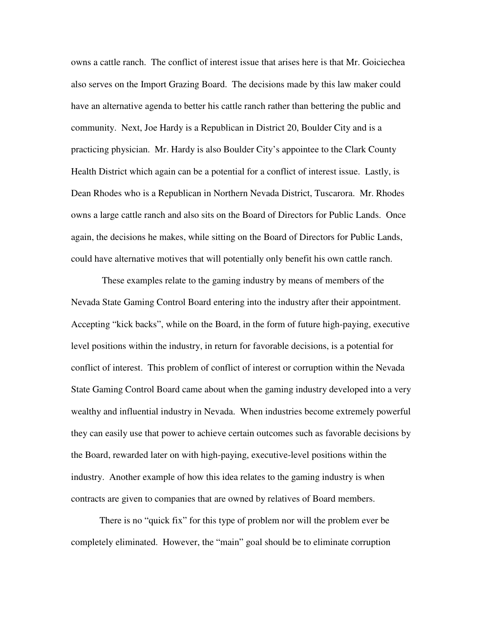owns a cattle ranch. The conflict of interest issue that arises here is that Mr. Goiciechea also serves on the Import Grazing Board. The decisions made by this law maker could have an alternative agenda to better his cattle ranch rather than bettering the public and community. Next, Joe Hardy is a Republican in District 20, Boulder City and is a practicing physician. Mr. Hardy is also Boulder City's appointee to the Clark County Health District which again can be a potential for a conflict of interest issue. Lastly, is Dean Rhodes who is a Republican in Northern Nevada District, Tuscarora. Mr. Rhodes owns a large cattle ranch and also sits on the Board of Directors for Public Lands. Once again, the decisions he makes, while sitting on the Board of Directors for Public Lands, could have alternative motives that will potentially only benefit his own cattle ranch.

These examples relate to the gaming industry by means of members of the Nevada State Gaming Control Board entering into the industry after their appointment. Accepting "kick backs", while on the Board, in the form of future high-paying, executive level positions within the industry, in return for favorable decisions, is a potential for conflict of interest. This problem of conflict of interest or corruption within the Nevada State Gaming Control Board came about when the gaming industry developed into a very wealthy and influential industry in Nevada. When industries become extremely powerful they can easily use that power to achieve certain outcomes such as favorable decisions by the Board, rewarded later on with high-paying, executive-level positions within the industry. Another example of how this idea relates to the gaming industry is when contracts are given to companies that are owned by relatives of Board members.

There is no "quick fix" for this type of problem nor will the problem ever be completely eliminated. However, the "main" goal should be to eliminate corruption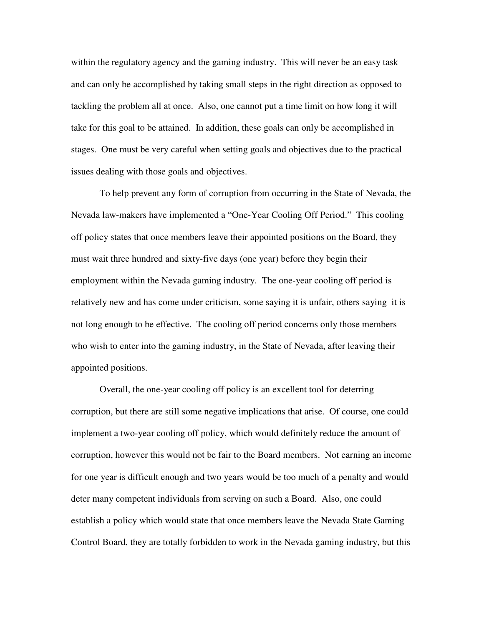within the regulatory agency and the gaming industry. This will never be an easy task and can only be accomplished by taking small steps in the right direction as opposed to tackling the problem all at once. Also, one cannot put a time limit on how long it will take for this goal to be attained. In addition, these goals can only be accomplished in stages. One must be very careful when setting goals and objectives due to the practical issues dealing with those goals and objectives.

To help prevent any form of corruption from occurring in the State of Nevada, the Nevada law-makers have implemented a "One-Year Cooling Off Period." This cooling off policy states that once members leave their appointed positions on the Board, they must wait three hundred and sixty-five days (one year) before they begin their employment within the Nevada gaming industry. The one-year cooling off period is relatively new and has come under criticism, some saying it is unfair, others saying it is not long enough to be effective. The cooling off period concerns only those members who wish to enter into the gaming industry, in the State of Nevada, after leaving their appointed positions.

Overall, the one-year cooling off policy is an excellent tool for deterring corruption, but there are still some negative implications that arise. Of course, one could implement a two-year cooling off policy, which would definitely reduce the amount of corruption, however this would not be fair to the Board members. Not earning an income for one year is difficult enough and two years would be too much of a penalty and would deter many competent individuals from serving on such a Board. Also, one could establish a policy which would state that once members leave the Nevada State Gaming Control Board, they are totally forbidden to work in the Nevada gaming industry, but this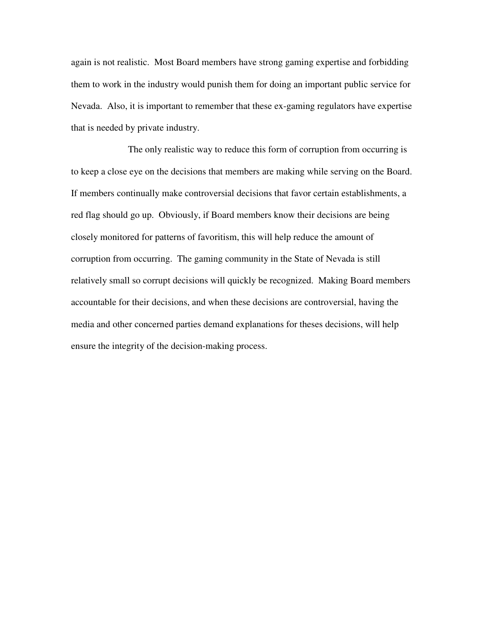again is not realistic. Most Board members have strong gaming expertise and forbidding them to work in the industry would punish them for doing an important public service for Nevada. Also, it is important to remember that these ex-gaming regulators have expertise that is needed by private industry.

 The only realistic way to reduce this form of corruption from occurring is to keep a close eye on the decisions that members are making while serving on the Board. If members continually make controversial decisions that favor certain establishments, a red flag should go up. Obviously, if Board members know their decisions are being closely monitored for patterns of favoritism, this will help reduce the amount of corruption from occurring. The gaming community in the State of Nevada is still relatively small so corrupt decisions will quickly be recognized. Making Board members accountable for their decisions, and when these decisions are controversial, having the media and other concerned parties demand explanations for theses decisions, will help ensure the integrity of the decision-making process.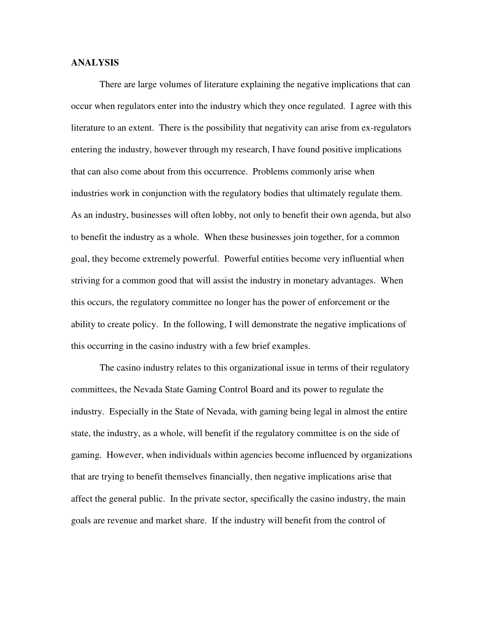#### **ANALYSIS**

There are large volumes of literature explaining the negative implications that can occur when regulators enter into the industry which they once regulated. I agree with this literature to an extent. There is the possibility that negativity can arise from ex-regulators entering the industry, however through my research, I have found positive implications that can also come about from this occurrence. Problems commonly arise when industries work in conjunction with the regulatory bodies that ultimately regulate them. As an industry, businesses will often lobby, not only to benefit their own agenda, but also to benefit the industry as a whole. When these businesses join together, for a common goal, they become extremely powerful. Powerful entities become very influential when striving for a common good that will assist the industry in monetary advantages. When this occurs, the regulatory committee no longer has the power of enforcement or the ability to create policy. In the following, I will demonstrate the negative implications of this occurring in the casino industry with a few brief examples.

 The casino industry relates to this organizational issue in terms of their regulatory committees, the Nevada State Gaming Control Board and its power to regulate the industry. Especially in the State of Nevada, with gaming being legal in almost the entire state, the industry, as a whole, will benefit if the regulatory committee is on the side of gaming. However, when individuals within agencies become influenced by organizations that are trying to benefit themselves financially, then negative implications arise that affect the general public. In the private sector, specifically the casino industry, the main goals are revenue and market share. If the industry will benefit from the control of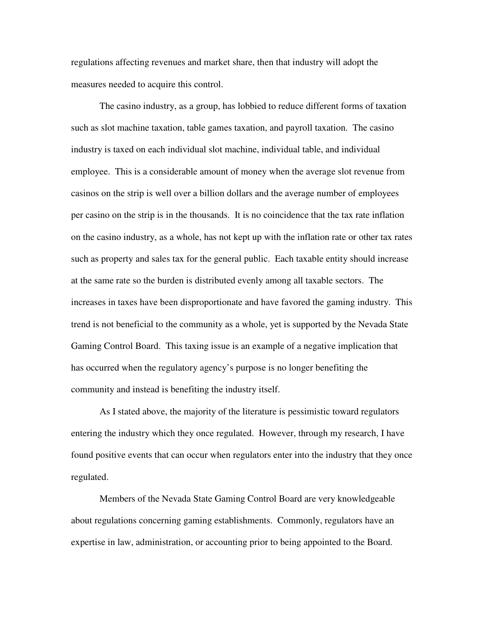regulations affecting revenues and market share, then that industry will adopt the measures needed to acquire this control.

 The casino industry, as a group, has lobbied to reduce different forms of taxation such as slot machine taxation, table games taxation, and payroll taxation. The casino industry is taxed on each individual slot machine, individual table, and individual employee. This is a considerable amount of money when the average slot revenue from casinos on the strip is well over a billion dollars and the average number of employees per casino on the strip is in the thousands. It is no coincidence that the tax rate inflation on the casino industry, as a whole, has not kept up with the inflation rate or other tax rates such as property and sales tax for the general public. Each taxable entity should increase at the same rate so the burden is distributed evenly among all taxable sectors. The increases in taxes have been disproportionate and have favored the gaming industry. This trend is not beneficial to the community as a whole, yet is supported by the Nevada State Gaming Control Board. This taxing issue is an example of a negative implication that has occurred when the regulatory agency's purpose is no longer benefiting the community and instead is benefiting the industry itself.

 As I stated above, the majority of the literature is pessimistic toward regulators entering the industry which they once regulated. However, through my research, I have found positive events that can occur when regulators enter into the industry that they once regulated.

 Members of the Nevada State Gaming Control Board are very knowledgeable about regulations concerning gaming establishments. Commonly, regulators have an expertise in law, administration, or accounting prior to being appointed to the Board.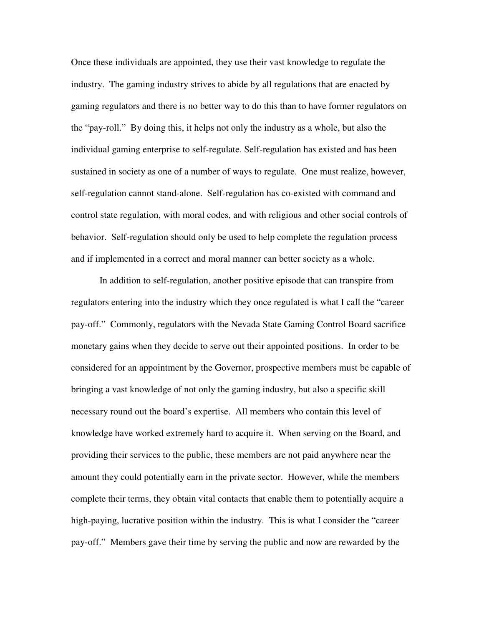Once these individuals are appointed, they use their vast knowledge to regulate the industry. The gaming industry strives to abide by all regulations that are enacted by gaming regulators and there is no better way to do this than to have former regulators on the "pay-roll." By doing this, it helps not only the industry as a whole, but also the individual gaming enterprise to self-regulate. Self-regulation has existed and has been sustained in society as one of a number of ways to regulate. One must realize, however, self-regulation cannot stand-alone. Self-regulation has co-existed with command and control state regulation, with moral codes, and with religious and other social controls of behavior. Self-regulation should only be used to help complete the regulation process and if implemented in a correct and moral manner can better society as a whole.

 In addition to self-regulation, another positive episode that can transpire from regulators entering into the industry which they once regulated is what I call the "career pay-off." Commonly, regulators with the Nevada State Gaming Control Board sacrifice monetary gains when they decide to serve out their appointed positions. In order to be considered for an appointment by the Governor, prospective members must be capable of bringing a vast knowledge of not only the gaming industry, but also a specific skill necessary round out the board's expertise. All members who contain this level of knowledge have worked extremely hard to acquire it. When serving on the Board, and providing their services to the public, these members are not paid anywhere near the amount they could potentially earn in the private sector. However, while the members complete their terms, they obtain vital contacts that enable them to potentially acquire a high-paying, lucrative position within the industry. This is what I consider the "career pay-off." Members gave their time by serving the public and now are rewarded by the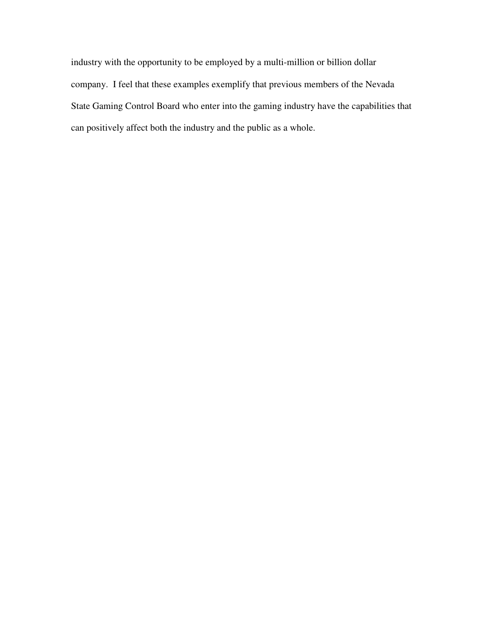industry with the opportunity to be employed by a multi-million or billion dollar company. I feel that these examples exemplify that previous members of the Nevada State Gaming Control Board who enter into the gaming industry have the capabilities that can positively affect both the industry and the public as a whole.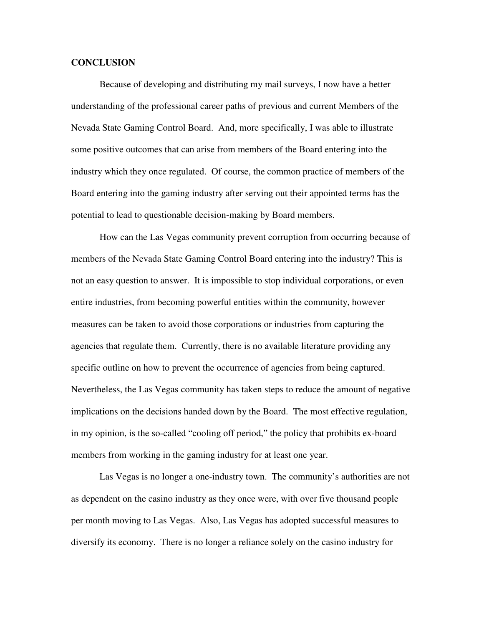#### **CONCLUSION**

Because of developing and distributing my mail surveys, I now have a better understanding of the professional career paths of previous and current Members of the Nevada State Gaming Control Board. And, more specifically, I was able to illustrate some positive outcomes that can arise from members of the Board entering into the industry which they once regulated. Of course, the common practice of members of the Board entering into the gaming industry after serving out their appointed terms has the potential to lead to questionable decision-making by Board members.

How can the Las Vegas community prevent corruption from occurring because of members of the Nevada State Gaming Control Board entering into the industry? This is not an easy question to answer. It is impossible to stop individual corporations, or even entire industries, from becoming powerful entities within the community, however measures can be taken to avoid those corporations or industries from capturing the agencies that regulate them. Currently, there is no available literature providing any specific outline on how to prevent the occurrence of agencies from being captured. Nevertheless, the Las Vegas community has taken steps to reduce the amount of negative implications on the decisions handed down by the Board. The most effective regulation, in my opinion, is the so-called "cooling off period," the policy that prohibits ex-board members from working in the gaming industry for at least one year.

 Las Vegas is no longer a one-industry town. The community's authorities are not as dependent on the casino industry as they once were, with over five thousand people per month moving to Las Vegas. Also, Las Vegas has adopted successful measures to diversify its economy. There is no longer a reliance solely on the casino industry for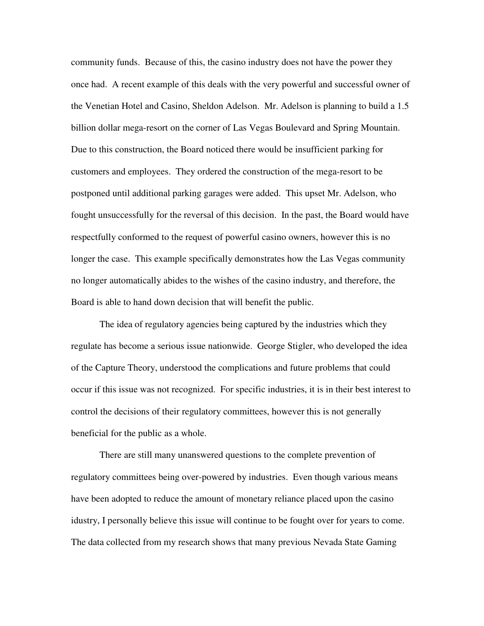community funds. Because of this, the casino industry does not have the power they once had. A recent example of this deals with the very powerful and successful owner of the Venetian Hotel and Casino, Sheldon Adelson. Mr. Adelson is planning to build a 1.5 billion dollar mega-resort on the corner of Las Vegas Boulevard and Spring Mountain. Due to this construction, the Board noticed there would be insufficient parking for customers and employees. They ordered the construction of the mega-resort to be postponed until additional parking garages were added. This upset Mr. Adelson, who fought unsuccessfully for the reversal of this decision. In the past, the Board would have respectfully conformed to the request of powerful casino owners, however this is no longer the case. This example specifically demonstrates how the Las Vegas community no longer automatically abides to the wishes of the casino industry, and therefore, the Board is able to hand down decision that will benefit the public.

The idea of regulatory agencies being captured by the industries which they regulate has become a serious issue nationwide. George Stigler, who developed the idea of the Capture Theory, understood the complications and future problems that could occur if this issue was not recognized. For specific industries, it is in their best interest to control the decisions of their regulatory committees, however this is not generally beneficial for the public as a whole.

 There are still many unanswered questions to the complete prevention of regulatory committees being over-powered by industries. Even though various means have been adopted to reduce the amount of monetary reliance placed upon the casino idustry, I personally believe this issue will continue to be fought over for years to come. The data collected from my research shows that many previous Nevada State Gaming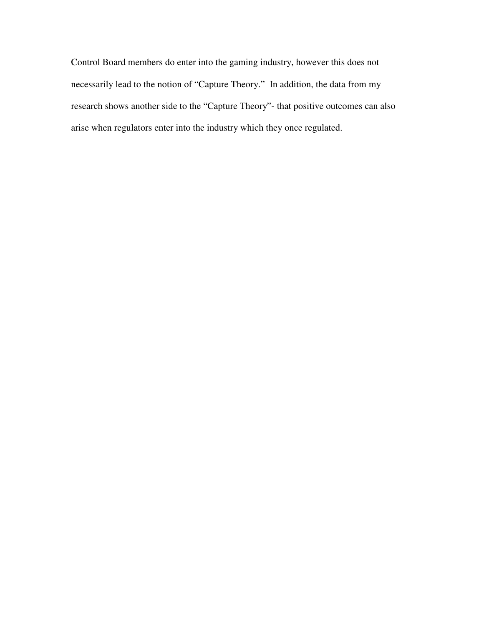Control Board members do enter into the gaming industry, however this does not necessarily lead to the notion of "Capture Theory." In addition, the data from my research shows another side to the "Capture Theory"- that positive outcomes can also arise when regulators enter into the industry which they once regulated.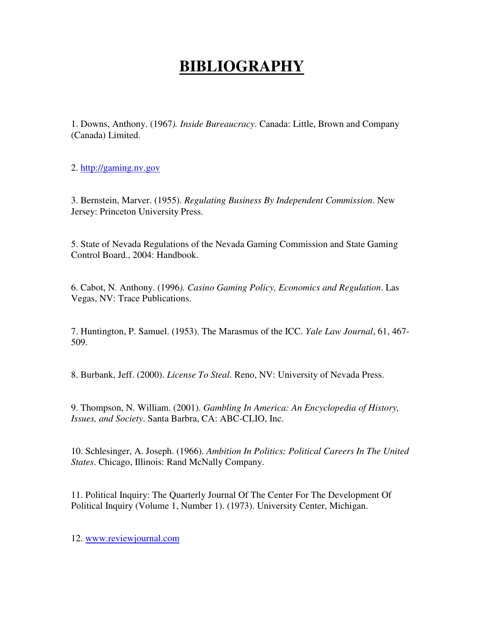## **BIBLIOGRAPHY**

1. Downs, Anthony. (1967*). Inside Bureaucracy*. Canada: Little, Brown and Company (Canada) Limited.

2. http://gaming.nv.gov

3. Bernstein, Marver. (1955). *Regulating Business By Independent Commission*. New Jersey: Princeton University Press.

5. State of Nevada Regulations of the Nevada Gaming Commission and State Gaming Control Board., 2004: Handbook.

6. Cabot, N. Anthony. (1996*). Casino Gaming Policy, Economics and Regulation*. Las Vegas, NV: Trace Publications.

7. Huntington, P. Samuel. (1953). The Marasmus of the ICC. *Yale Law Journal*, 61, 467- 509.

8. Burbank, Jeff. (2000). *License To Steal*. Reno, NV: University of Nevada Press.

9. Thompson, N. William. (2001). *Gambling In America: An Encyclopedia of History, Issues, and Society*. Santa Barbra, CA: ABC-CLIO, Inc.

10. Schlesinger, A. Joseph. (1966). *Ambition In Politics: Political Careers In The United States*. Chicago, Illinois: Rand McNally Company.

11. Political Inquiry: The Quarterly Journal Of The Center For The Development Of Political Inquiry (Volume 1, Number 1). (1973). University Center, Michigan.

12. www.reviewjournal.com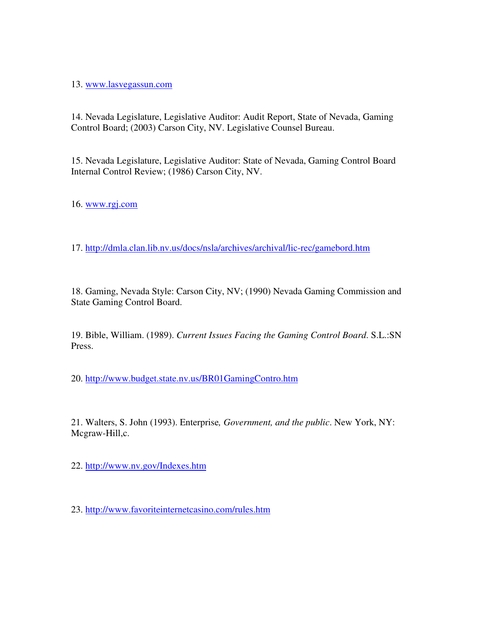13. www.lasvegassun.com

14. Nevada Legislature, Legislative Auditor: Audit Report, State of Nevada, Gaming Control Board; (2003) Carson City, NV. Legislative Counsel Bureau.

15. Nevada Legislature, Legislative Auditor: State of Nevada, Gaming Control Board Internal Control Review; (1986) Carson City, NV.

16. www.rgj.com

17. http://dmla.clan.lib.nv.us/docs/nsla/archives/archival/lic-rec/gamebord.htm

18. Gaming, Nevada Style: Carson City, NV; (1990) Nevada Gaming Commission and State Gaming Control Board.

19. Bible, William. (1989). *Current Issues Facing the Gaming Control Board*. S.L.:SN Press.

20. http://www.budget.state.nv.us/BR01GamingContro.htm

21. Walters, S. John (1993). Enterprise*, Government, and the public*. New York, NY: Mcgraw-Hill,c.

22. http://www.nv.gov/Indexes.htm

23. http://www.favoriteinternetcasino.com/rules.htm